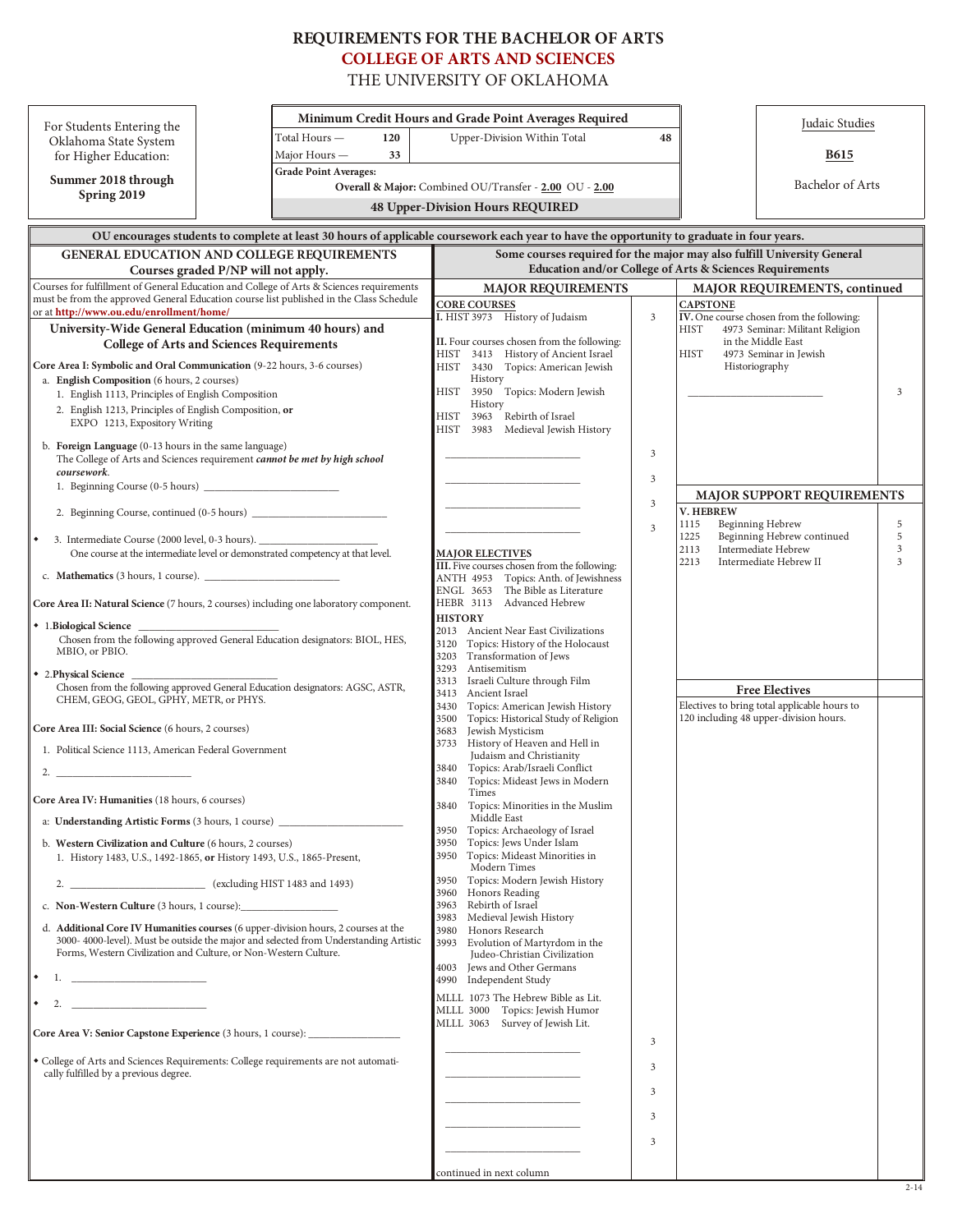# **RE QUIRE MENTS FOR THE BACHE LOR OF ARTS [COLLEGE OF ARTS AND SCIENCES](http://casweb.ou.edu/home/)**

THE UNIVERSITY OF OKLAHOMA

| For Students Entering the                                                                                                                                                                                                                      |                                                                                                                                            | Minimum Credit Hours and Grade Point Averages Required                                 |    |                                                              | Judaic Studies                                                                         |        |  |  |  |  |
|------------------------------------------------------------------------------------------------------------------------------------------------------------------------------------------------------------------------------------------------|--------------------------------------------------------------------------------------------------------------------------------------------|----------------------------------------------------------------------------------------|----|--------------------------------------------------------------|----------------------------------------------------------------------------------------|--------|--|--|--|--|
| Oklahoma State System                                                                                                                                                                                                                          | Total Hours —<br>120                                                                                                                       | Upper-Division Within Total                                                            | 48 |                                                              |                                                                                        |        |  |  |  |  |
| for Higher Education:                                                                                                                                                                                                                          | Major Hours -<br>33                                                                                                                        |                                                                                        |    |                                                              | <b>B615</b>                                                                            |        |  |  |  |  |
| Summer 2018 through                                                                                                                                                                                                                            |                                                                                                                                            | <b>Grade Point Averages:</b><br>Overall & Major: Combined OU/Transfer - 2.00 OU - 2.00 |    |                                                              |                                                                                        |        |  |  |  |  |
| Spring 2019                                                                                                                                                                                                                                    |                                                                                                                                            |                                                                                        |    | Bachelor of Arts                                             |                                                                                        |        |  |  |  |  |
| <b>48 Upper-Division Hours REQUIRED</b>                                                                                                                                                                                                        |                                                                                                                                            |                                                                                        |    |                                                              |                                                                                        |        |  |  |  |  |
|                                                                                                                                                                                                                                                | OU encourages students to complete at least 30 hours of applicable coursework each year to have the opportunity to graduate in four years. |                                                                                        |    |                                                              |                                                                                        |        |  |  |  |  |
|                                                                                                                                                                                                                                                | GENERAL EDUCATION AND COLLEGE REQUIREMENTS                                                                                                 | Some courses required for the major may also fulfill University General                |    |                                                              |                                                                                        |        |  |  |  |  |
| Courses graded P/NP will not apply.                                                                                                                                                                                                            |                                                                                                                                            | Education and/or College of Arts & Sciences Requirements                               |    |                                                              |                                                                                        |        |  |  |  |  |
| Courses for fulfillment of General Education and College of Arts & Sciences requirements                                                                                                                                                       |                                                                                                                                            | <b>MAJOR REQUIREMENTS</b>                                                              |    | MAJOR REQUIREMENTS, continued                                |                                                                                        |        |  |  |  |  |
| must be from the approved General Education course list published in the Class Schedule<br>or at http://www.ou.edu/enrollment/home/                                                                                                            |                                                                                                                                            | <b>CORE COURSES</b><br>I. HIST 3973 History of Judaism                                 |    | <b>CAPSTONE</b><br>IV. One course chosen from the following: |                                                                                        |        |  |  |  |  |
| University-Wide General Education (minimum 40 hours) and                                                                                                                                                                                       |                                                                                                                                            |                                                                                        | 3  | <b>HIST</b>                                                  | 4973 Seminar: Militant Religion                                                        |        |  |  |  |  |
| <b>College of Arts and Sciences Requirements</b>                                                                                                                                                                                               |                                                                                                                                            | II. Four courses chosen from the following:<br>HIST 3413 History of Ancient Israel     |    | <b>HIST</b>                                                  | in the Middle East<br>4973 Seminar in Jewish                                           |        |  |  |  |  |
| Core Area I: Symbolic and Oral Communication (9-22 hours, 3-6 courses)                                                                                                                                                                         |                                                                                                                                            | HIST<br>3430 Topics: American Jewish                                                   |    | Historiography                                               |                                                                                        |        |  |  |  |  |
| a. English Composition (6 hours, 2 courses)                                                                                                                                                                                                    |                                                                                                                                            | History                                                                                |    |                                                              |                                                                                        |        |  |  |  |  |
| 1. English 1113, Principles of English Composition                                                                                                                                                                                             |                                                                                                                                            | 3950 Topics: Modern Jewish<br>HIST<br>History                                          |    |                                                              |                                                                                        | 3      |  |  |  |  |
| 2. English 1213, Principles of English Composition, or<br>EXPO 1213, Expository Writing                                                                                                                                                        |                                                                                                                                            | Rebirth of Israel<br>HIST<br>3963                                                      |    |                                                              |                                                                                        |        |  |  |  |  |
|                                                                                                                                                                                                                                                |                                                                                                                                            | 3983 Medieval Jewish History<br>HIST                                                   |    |                                                              |                                                                                        |        |  |  |  |  |
| b. Foreign Language $(0-13$ hours in the same language)<br>The College of Arts and Sciences requirement cannot be met by high school                                                                                                           |                                                                                                                                            |                                                                                        | 3  |                                                              |                                                                                        |        |  |  |  |  |
| coursework.                                                                                                                                                                                                                                    |                                                                                                                                            |                                                                                        | 3  |                                                              |                                                                                        |        |  |  |  |  |
|                                                                                                                                                                                                                                                |                                                                                                                                            |                                                                                        |    |                                                              | <b>MAJOR SUPPORT REQUIREMENTS</b>                                                      |        |  |  |  |  |
|                                                                                                                                                                                                                                                |                                                                                                                                            |                                                                                        | 3  | V. HEBREW                                                    |                                                                                        |        |  |  |  |  |
|                                                                                                                                                                                                                                                |                                                                                                                                            |                                                                                        | 3  | 1115                                                         | Beginning Hebrew                                                                       | 5      |  |  |  |  |
| 3. Intermediate Course (2000 level, 0-3 hours).<br>∣∙                                                                                                                                                                                          |                                                                                                                                            |                                                                                        |    | 1225<br>2113                                                 | Beginning Hebrew continued<br>Intermediate Hebrew                                      | 5<br>3 |  |  |  |  |
| One course at the intermediate level or demonstrated competency at that level.                                                                                                                                                                 |                                                                                                                                            | <b>MAJOR ELECTIVES</b><br>III. Five courses chosen from the following:                 |    | 2213                                                         | Intermediate Hebrew II                                                                 | 3      |  |  |  |  |
|                                                                                                                                                                                                                                                |                                                                                                                                            | ANTH 4953 Topics: Anth. of Jewishness                                                  |    |                                                              |                                                                                        |        |  |  |  |  |
| Core Area II: Natural Science (7 hours, 2 courses) including one laboratory component.                                                                                                                                                         |                                                                                                                                            | ENGL 3653 The Bible as Literature<br>HEBR 3113 Advanced Hebrew                         |    |                                                              |                                                                                        |        |  |  |  |  |
|                                                                                                                                                                                                                                                |                                                                                                                                            | <b>HISTORY</b>                                                                         |    |                                                              |                                                                                        |        |  |  |  |  |
| ◆ 1. Biological Science<br>Chosen from the following approved General Education designators: BIOL, HES,                                                                                                                                        |                                                                                                                                            | 2013<br>Ancient Near East Civilizations                                                |    |                                                              |                                                                                        |        |  |  |  |  |
| MBIO, or PBIO.                                                                                                                                                                                                                                 |                                                                                                                                            | Topics: History of the Holocaust<br>3120<br>Transformation of Jews<br>3203             |    |                                                              |                                                                                        |        |  |  |  |  |
| • 2. Physical Science                                                                                                                                                                                                                          |                                                                                                                                            | 3293<br>Antisemitism                                                                   |    |                                                              |                                                                                        |        |  |  |  |  |
| Chosen from the following approved General Education designators: AGSC, ASTR,                                                                                                                                                                  |                                                                                                                                            | Israeli Culture through Film<br>3313<br>3413<br>Ancient Israel                         |    |                                                              | <b>Free Electives</b>                                                                  |        |  |  |  |  |
| CHEM, GEOG, GEOL, GPHY, METR, or PHYS.                                                                                                                                                                                                         |                                                                                                                                            | Topics: American Jewish History<br>3430                                                |    |                                                              | Electives to bring total applicable hours to<br>120 including 48 upper-division hours. |        |  |  |  |  |
| Core Area III: Social Science (6 hours, 2 courses)                                                                                                                                                                                             |                                                                                                                                            | Topics: Historical Study of Religion<br>3500<br>Jewish Mysticism<br>3683               |    |                                                              |                                                                                        |        |  |  |  |  |
| 1. Political Science 1113, American Federal Government                                                                                                                                                                                         |                                                                                                                                            | 3733 History of Heaven and Hell in                                                     |    |                                                              |                                                                                        |        |  |  |  |  |
|                                                                                                                                                                                                                                                |                                                                                                                                            | Judaism and Christianity<br>Topics: Arab/Israeli Conflict<br>3840                      |    |                                                              |                                                                                        |        |  |  |  |  |
|                                                                                                                                                                                                                                                |                                                                                                                                            | Topics: Mideast Jews in Modern<br>3840                                                 |    |                                                              |                                                                                        |        |  |  |  |  |
| Core Area IV: Humanities (18 hours, 6 courses)                                                                                                                                                                                                 |                                                                                                                                            | Times<br>3840<br>Topics: Minorities in the Muslim                                      |    |                                                              |                                                                                        |        |  |  |  |  |
| a: Understanding Artistic Forms (3 hours, 1 course) _                                                                                                                                                                                          |                                                                                                                                            | Middle East                                                                            |    |                                                              |                                                                                        |        |  |  |  |  |
| b. Western Civilization and Culture (6 hours, 2 courses)                                                                                                                                                                                       |                                                                                                                                            | Topics: Archaeology of Israel<br>3950<br>3950<br>Topics: Jews Under Islam              |    |                                                              |                                                                                        |        |  |  |  |  |
| 1. History 1483, U.S., 1492-1865, or History 1493, U.S., 1865-Present,                                                                                                                                                                         |                                                                                                                                            | 3950 Topics: Mideast Minorities in                                                     |    |                                                              |                                                                                        |        |  |  |  |  |
|                                                                                                                                                                                                                                                |                                                                                                                                            | Modern Times<br>Topics: Modern Jewish History<br>3950                                  |    |                                                              |                                                                                        |        |  |  |  |  |
|                                                                                                                                                                                                                                                |                                                                                                                                            | Honors Reading<br>3960                                                                 |    |                                                              |                                                                                        |        |  |  |  |  |
| c. Non-Western Culture (3 hours, 1 course):                                                                                                                                                                                                    |                                                                                                                                            | Rebirth of Israel<br>3963<br>Medieval Jewish History<br>3983                           |    |                                                              |                                                                                        |        |  |  |  |  |
| d. Additional Core IV Humanities courses (6 upper-division hours, 2 courses at the<br>3000-4000-level). Must be outside the major and selected from Understanding Artistic<br>Forms, Western Civilization and Culture, or Non-Western Culture. |                                                                                                                                            | Honors Research<br>3980                                                                |    |                                                              |                                                                                        |        |  |  |  |  |
|                                                                                                                                                                                                                                                |                                                                                                                                            | Evolution of Martyrdom in the<br>3993<br>Judeo-Christian Civilization                  |    |                                                              |                                                                                        |        |  |  |  |  |
|                                                                                                                                                                                                                                                |                                                                                                                                            | Jews and Other Germans<br>4003                                                         |    |                                                              |                                                                                        |        |  |  |  |  |
| the control of the control of the control of<br>1.                                                                                                                                                                                             |                                                                                                                                            | 4990 Independent Study                                                                 |    |                                                              |                                                                                        |        |  |  |  |  |
| 2.                                                                                                                                                                                                                                             |                                                                                                                                            | MLLL 1073 The Hebrew Bible as Lit.<br>MLLL 3000 Topics: Jewish Humor                   |    |                                                              |                                                                                        |        |  |  |  |  |
|                                                                                                                                                                                                                                                |                                                                                                                                            | MLLL 3063 Survey of Jewish Lit.                                                        |    |                                                              |                                                                                        |        |  |  |  |  |
| Core Area V: Senior Capstone Experience (3 hours, 1 course): ___________________                                                                                                                                                               |                                                                                                                                            |                                                                                        | 3  |                                                              |                                                                                        |        |  |  |  |  |
| • College of Arts and Sciences Requirements: College requirements are not automati-                                                                                                                                                            |                                                                                                                                            |                                                                                        | 3  |                                                              |                                                                                        |        |  |  |  |  |
| cally fulfilled by a previous degree.                                                                                                                                                                                                          |                                                                                                                                            |                                                                                        |    |                                                              |                                                                                        |        |  |  |  |  |
|                                                                                                                                                                                                                                                |                                                                                                                                            |                                                                                        | 3  |                                                              |                                                                                        |        |  |  |  |  |
|                                                                                                                                                                                                                                                |                                                                                                                                            |                                                                                        | 3  |                                                              |                                                                                        |        |  |  |  |  |
|                                                                                                                                                                                                                                                |                                                                                                                                            |                                                                                        |    |                                                              |                                                                                        |        |  |  |  |  |
|                                                                                                                                                                                                                                                |                                                                                                                                            |                                                                                        | 3  |                                                              |                                                                                        |        |  |  |  |  |
|                                                                                                                                                                                                                                                |                                                                                                                                            | continued in next column                                                               |    |                                                              |                                                                                        |        |  |  |  |  |